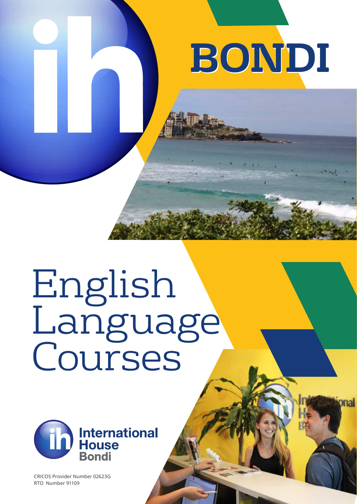# **BONDI BONDI**

# English Language Courses



CRICOS Provider Number 02623G RTO Number 91109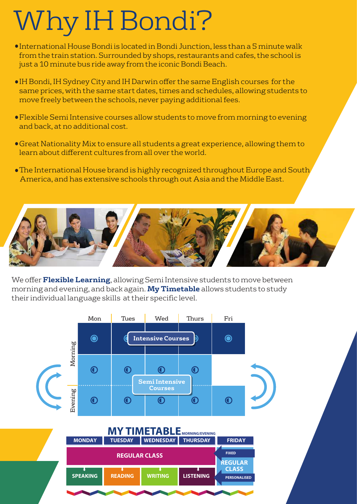### Why IH Bondi?

- International House Bondi is located in Bondi Junction, less than a 5 minute walk from the train station. Surrounded by shops, restaurants and cafes, the school is just a 10 minute bus ride away from the iconic Bondi Beach.
- IH Bondi, IH Sydney City and IH Darwin offer the same English courses for the same prices, with the same start dates, times and schedules, allowing students to move freely between the schools, never paying additional fees.
- Flexible Semi Intensive courses allow students to move from morning to evening and back, at no additional cost.
- Great Nationality Mix to ensure all students a great experience, allowing them to learn about different cultures from all over the world.
- The International House brand is highly recognized throughout Europe and South America, and has extensive schools through out Asia and the Middle East.



We offer **Flexible Learning**, allowing Semi Intensive students to move between morning and evening, and back again. **My Timetable** allows students to study their individual language skills at their specific level.

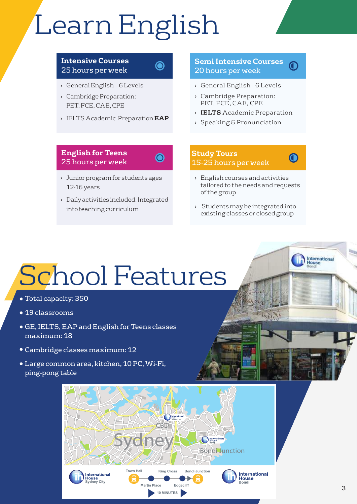# Learn English

 $\bigcirc$ 

 $\odot$ 

#### **Intensive Courses** 25 hours per week

- › General English 6 Levels
- › Cambridge Preparation: PET, FCE, CAE, CPE
- › IELTS Academic Preparation **EAP**

#### **Semi Intensive Courses** 20 hours per week

- › General English 6 Levels
- › Cambridge Preparation: PET, FCE, CAE, CPE
- › **IELTS** Academic Preparation
- › Speaking & Pronunciation

#### **English for Teens** 25 hours per week

- › Junior program for students ages 12-16 years
- › Daily activities included. Integrated into teaching curriculum

#### **Study Tours** 15-25 hours per week



International<br>House

- › English courses and activities tailored to the needs and requests of the group
- › Students may be integrated into existing classes or closed group

## School Features

- Total capacity: 350
- 19 classrooms
- GE, IELTS, EAP and English for Teens classes maximum: 18
- Cambridge classes maximum: 12
- Large common area, kitchen, 10 PC, Wi-Fi, ping-pong table